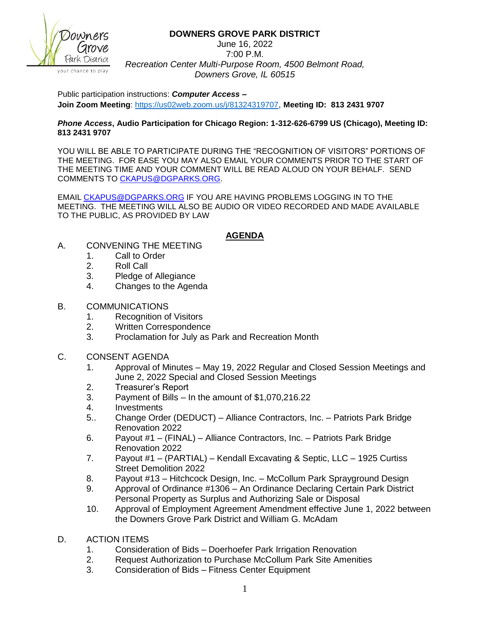**DOWNERS GROVE PARK DISTRICT**



vour chance to play.

June 16, 2022 7:00 P.M. *Recreation Center Multi-Purpose Room, 4500 Belmont Road, Downers Grove, IL 60515*

Public participation instructions: *Computer Access* **– Join Zoom Meeting**:<https://us02web.zoom.us/j/81324319707>, **Meeting ID: 813 2431 9707**

## *Phone Access***, Audio Participation for Chicago Region: 1-312-626-6799 US (Chicago), Meeting ID: 813 2431 9707**

YOU WILL BE ABLE TO PARTICIPATE DURING THE "RECOGNITION OF VISITORS" PORTIONS OF THE MEETING. FOR EASE YOU MAY ALSO EMAIL YOUR COMMENTS PRIOR TO THE START OF THE MEETING TIME AND YOUR COMMENT WILL BE READ ALOUD ON YOUR BEHALF. SEND COMMENTS TO [CKAPUS@DGPARKS.ORG.](mailto:CKAPUS@DGPARKS.ORG)

EMAIL [CKAPUS@DGPARKS.ORG](mailto:ckapus@dgparks.org) IF YOU ARE HAVING PROBLEMS LOGGING IN TO THE MEETING. THE MEETING WILL ALSO BE AUDIO OR VIDEO RECORDED AND MADE AVAILABLE TO THE PUBLIC, AS PROVIDED BY LAW

## **AGENDA**

- A. CONVENING THE MEETING
	- 1. Call to Order
	- 2. Roll Call
	- 3. Pledge of Allegiance
	- 4. Changes to the Agenda
- B. COMMUNICATIONS
	- 1. Recognition of Visitors
	- 2. Written Correspondence
	- 3. Proclamation for July as Park and Recreation Month
- C. CONSENT AGENDA
	- 1. Approval of Minutes May 19, 2022 Regular and Closed Session Meetings and June 2, 2022 Special and Closed Session Meetings
	- 2. Treasurer's Report
	- 3. Payment of Bills In the amount of \$1,070,216.22
	- 4. Investments
	- 5.. Change Order (DEDUCT) Alliance Contractors, Inc. Patriots Park Bridge Renovation 2022
	- 6. Payout #1 (FINAL) Alliance Contractors, Inc. Patriots Park Bridge Renovation 2022
	- 7. Payout #1 (PARTIAL) Kendall Excavating & Septic, LLC 1925 Curtiss Street Demolition 2022
	- 8. Payout #13 Hitchcock Design, Inc. McCollum Park Sprayground Design
	- 9. Approval of Ordinance #1306 An Ordinance Declaring Certain Park District Personal Property as Surplus and Authorizing Sale or Disposal
	- 10. Approval of Employment Agreement Amendment effective June 1, 2022 between the Downers Grove Park District and William G. McAdam
- D. ACTION ITEMS
	- 1. Consideration of Bids Doerhoefer Park Irrigation Renovation
	- 2. Request Authorization to Purchase McCollum Park Site Amenities
	- 3. Consideration of Bids Fitness Center Equipment